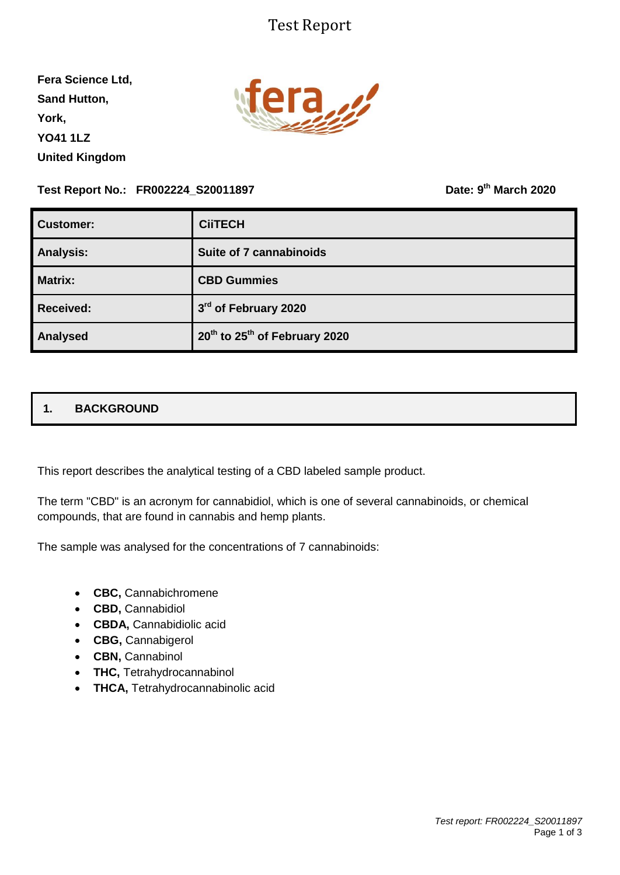# Test Report

**Fera Science Ltd, Sand Hutton, York, YO41 1LZ United Kingdom**



**Test Report No.: FR002224\_S20011897** 

**th March 2020**

| Customer:        | <b>CiiTECH</b>                                        |  |  |
|------------------|-------------------------------------------------------|--|--|
| <b>Analysis:</b> | Suite of 7 cannabinoids                               |  |  |
| <b>Matrix:</b>   | <b>CBD Gummies</b>                                    |  |  |
| <b>Received:</b> | 3rd of February 2020                                  |  |  |
| <b>Analysed</b>  | 20 <sup>th</sup> to 25 <sup>th</sup> of February 2020 |  |  |

## **1. BACKGROUND**

This report describes the analytical testing of a CBD labeled sample product.

The term "CBD" is an acronym for cannabidiol, which is one of several cannabinoids, or chemical compounds, that are found in cannabis and hemp plants.

The sample was analysed for the concentrations of 7 cannabinoids:

- **CBC,** Cannabichromene
- **CBD,** Cannabidiol
- **CBDA,** Cannabidiolic acid
- **CBG,** Cannabigerol
- CBN, Cannabinol
- **THC,** Tetrahydrocannabinol
- **THCA, Tetrahydrocannabinolic acid**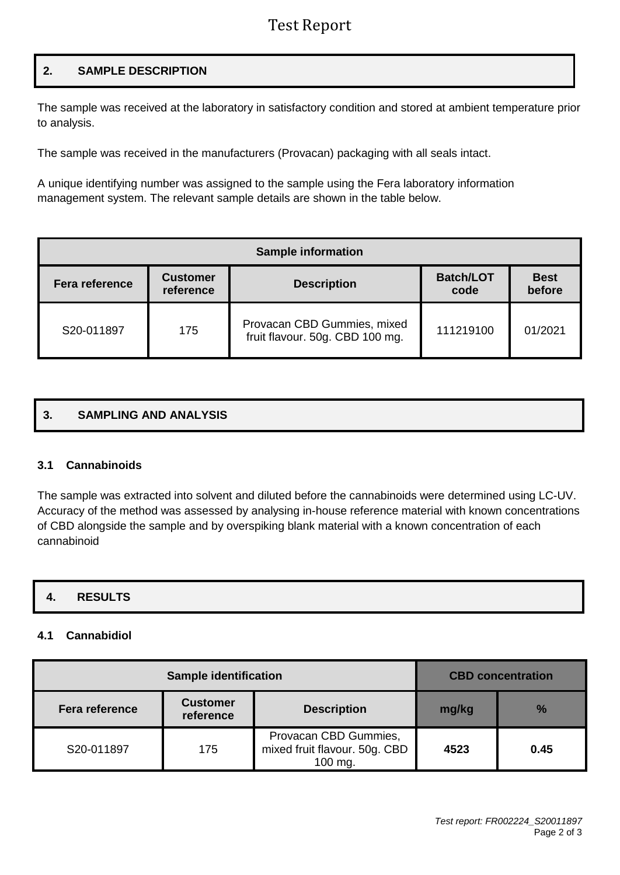# Test Report

## **2. SAMPLE DESCRIPTION**

The sample was received at the laboratory in satisfactory condition and stored at ambient temperature prior to analysis.

The sample was received in the manufacturers (Provacan) packaging with all seals intact.

A unique identifying number was assigned to the sample using the Fera laboratory information management system. The relevant sample details are shown in the table below.

| <b>Sample information</b> |                                                    |                                                                |                          |                       |  |  |
|---------------------------|----------------------------------------------------|----------------------------------------------------------------|--------------------------|-----------------------|--|--|
| <b>Fera reference</b>     | <b>Customer</b><br><b>Description</b><br>reference |                                                                | <b>Batch/LOT</b><br>code | <b>Best</b><br>before |  |  |
| S20-011897                | 175                                                | Provacan CBD Gummies, mixed<br>fruit flavour. 50g. CBD 100 mg. | 111219100                | 01/2021               |  |  |

### **3. SAMPLING AND ANALYSIS**

#### **3.1 Cannabinoids**

The sample was extracted into solvent and diluted before the cannabinoids were determined using LC-UV. Accuracy of the method was assessed by analysing in-house reference material with known concentrations of CBD alongside the sample and by overspiking blank material with a known concentration of each cannabinoid

### **4. RESULTS**

#### **4.1 Cannabidiol**

|                       | <b>CBD</b> concentration     |                                                                   |       |               |
|-----------------------|------------------------------|-------------------------------------------------------------------|-------|---------------|
| <b>Fera reference</b> | <b>Customer</b><br>reference | <b>Description</b>                                                | mg/kg | $\frac{9}{6}$ |
| S20-011897            | 175                          | Provacan CBD Gummies,<br>mixed fruit flavour. 50g. CBD<br>100 mg. | 4523  | 0.45          |